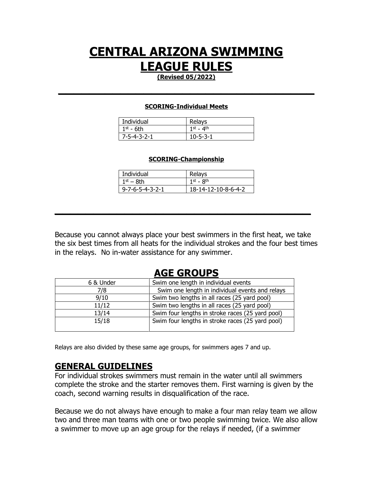## **CENTRAL ARIZONA SWIMMING LEAGUE RULES**

**(Revised 05/2022) \_\_\_\_\_\_\_\_\_\_\_\_\_\_\_\_\_\_\_\_\_\_\_\_\_\_\_\_\_\_\_\_\_**

#### **SCORING-Individual Meets**

| Individual               | Relays           |
|--------------------------|------------------|
| $1^{\text{st}}$ - 6th    | 1st $-$ 4th      |
| $17 - 5 - 4 - 3 - 2 - 1$ | $10 - 5 - 3 - 1$ |

#### **SCORING-Championship**

| Individual                      | Relays              |
|---------------------------------|---------------------|
| 1st – 8th                       | $1st$ - $Rth$       |
| $9 - 7 - 6 - 5 - 4 - 3 - 2 - 1$ | 18-14-12-10-8-6-4-2 |

**\_\_\_\_\_\_\_\_\_\_\_\_\_\_\_\_\_\_\_\_\_\_\_\_\_\_\_\_\_\_\_\_\_**

Because you cannot always place your best swimmers in the first heat, we take the six best times from all heats for the individual strokes and the four best times in the relays. No in-water assistance for any swimmer.

### **AGE GROUPS**

| 6 & Under | Swim one length in individual events             |
|-----------|--------------------------------------------------|
| 7/8       | Swim one length in individual events and relays  |
| 9/10      | Swim two lengths in all races (25 yard pool)     |
| 11/12     | Swim two lengths in all races (25 yard pool)     |
| 13/14     | Swim four lengths in stroke races (25 yard pool) |
| 15/18     | Swim four lengths in stroke races (25 yard pool) |

Relays are also divided by these same age groups, for swimmers ages 7 and up.

### **GENERAL GUIDELINES**

For individual strokes swimmers must remain in the water until all swimmers complete the stroke and the starter removes them. First warning is given by the coach, second warning results in disqualification of the race.

Because we do not always have enough to make a four man relay team we allow two and three man teams with one or two people swimming twice. We also allow a swimmer to move up an age group for the relays if needed, (if a swimmer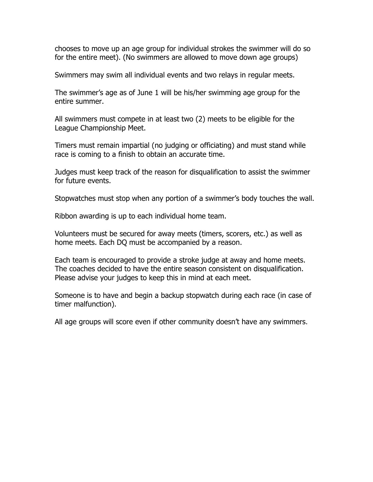chooses to move up an age group for individual strokes the swimmer will do so for the entire meet). (No swimmers are allowed to move down age groups)

Swimmers may swim all individual events and two relays in regular meets.

The swimmer's age as of June 1 will be his/her swimming age group for the entire summer.

All swimmers must compete in at least two (2) meets to be eligible for the League Championship Meet.

Timers must remain impartial (no judging or officiating) and must stand while race is coming to a finish to obtain an accurate time.

Judges must keep track of the reason for disqualification to assist the swimmer for future events.

Stopwatches must stop when any portion of a swimmer's body touches the wall.

Ribbon awarding is up to each individual home team.

Volunteers must be secured for away meets (timers, scorers, etc.) as well as home meets. Each DQ must be accompanied by a reason.

Each team is encouraged to provide a stroke judge at away and home meets. The coaches decided to have the entire season consistent on disqualification. Please advise your judges to keep this in mind at each meet.

Someone is to have and begin a backup stopwatch during each race (in case of timer malfunction).

All age groups will score even if other community doesn't have any swimmers.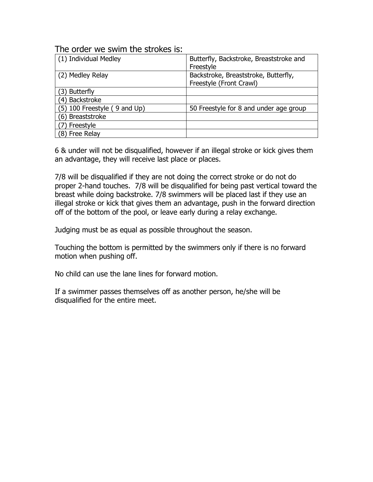### The order we swim the strokes is:

| (1) Individual Medley        | Butterfly, Backstroke, Breaststroke and<br>Freestyle            |
|------------------------------|-----------------------------------------------------------------|
| (2) Medley Relay             | Backstroke, Breaststroke, Butterfly,<br>Freestyle (Front Crawl) |
| 3) Butterfly                 |                                                                 |
| (4) Backstroke               |                                                                 |
| (5) 100 Freestyle (9 and Up) | 50 Freestyle for 8 and under age group                          |
| (6) Breaststroke             |                                                                 |
| Freestyle                    |                                                                 |
| (8) Free Relay               |                                                                 |

6 & under will not be disqualified, however if an illegal stroke or kick gives them an advantage, they will receive last place or places.

7/8 will be disqualified if they are not doing the correct stroke or do not do proper 2-hand touches. 7/8 will be disqualified for being past vertical toward the breast while doing backstroke. 7/8 swimmers will be placed last if they use an illegal stroke or kick that gives them an advantage, push in the forward direction off of the bottom of the pool, or leave early during a relay exchange.

Judging must be as equal as possible throughout the season.

Touching the bottom is permitted by the swimmers only if there is no forward motion when pushing off.

No child can use the lane lines for forward motion.

If a swimmer passes themselves off as another person, he/she will be disqualified for the entire meet.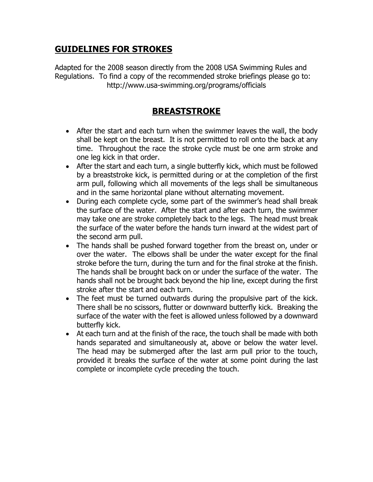### **GUIDELINES FOR STROKES**

Adapted for the 2008 season directly from the 2008 USA Swimming Rules and Regulations. To find a copy of the recommended stroke briefings please go to: http://www.usa-swimming.org/programs/officials

### **BREASTSTROKE**

- After the start and each turn when the swimmer leaves the wall, the body shall be kept on the breast. It is not permitted to roll onto the back at any time. Throughout the race the stroke cycle must be one arm stroke and one leg kick in that order.
- After the start and each turn, a single butterfly kick, which must be followed by a breaststroke kick, is permitted during or at the completion of the first arm pull, following which all movements of the legs shall be simultaneous and in the same horizontal plane without alternating movement.
- During each complete cycle, some part of the swimmer's head shall break the surface of the water. After the start and after each turn, the swimmer may take one are stroke completely back to the legs. The head must break the surface of the water before the hands turn inward at the widest part of the second arm pull.
- The hands shall be pushed forward together from the breast on, under or over the water. The elbows shall be under the water except for the final stroke before the turn, during the turn and for the final stroke at the finish. The hands shall be brought back on or under the surface of the water. The hands shall not be brought back beyond the hip line, except during the first stroke after the start and each turn.
- The feet must be turned outwards during the propulsive part of the kick. There shall be no scissors, flutter or downward butterfly kick. Breaking the surface of the water with the feet is allowed unless followed by a downward butterfly kick.
- At each turn and at the finish of the race, the touch shall be made with both hands separated and simultaneously at, above or below the water level. The head may be submerged after the last arm pull prior to the touch, provided it breaks the surface of the water at some point during the last complete or incomplete cycle preceding the touch.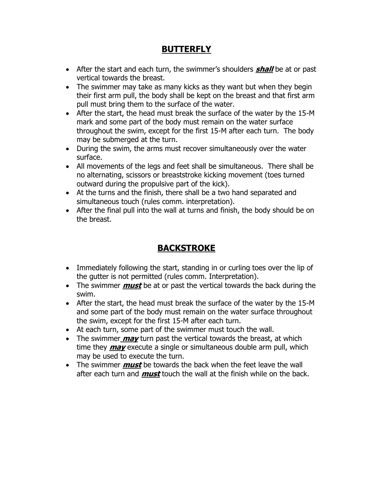### **BUTTERFLY**

- After the start and each turn, the swimmer's shoulders **shall** be at or past vertical towards the breast.
- The swimmer may take as many kicks as they want but when they begin their first arm pull, the body shall be kept on the breast and that first arm pull must bring them to the surface of the water.
- After the start, the head must break the surface of the water by the 15-M mark and some part of the body must remain on the water surface throughout the swim, except for the first 15-M after each turn. The body may be submerged at the turn.
- During the swim, the arms must recover simultaneously over the water surface.
- All movements of the legs and feet shall be simultaneous. There shall be no alternating, scissors or breaststroke kicking movement (toes turned outward during the propulsive part of the kick).
- At the turns and the finish, there shall be a two hand separated and simultaneous touch (rules comm. interpretation).
- After the final pull into the wall at turns and finish, the body should be on the breast.

### **BACKSTROKE**

- Immediately following the start, standing in or curling toes over the lip of the gutter is not permitted (rules comm. Interpretation).
- The swimmer **must** be at or past the vertical towards the back during the swim.
- After the start, the head must break the surface of the water by the 15-M and some part of the body must remain on the water surface throughout the swim, except for the first 15-M after each turn.
- At each turn, some part of the swimmer must touch the wall.
- The swimmer **may** turn past the vertical towards the breast, at which time they **may** execute a single or simultaneous double arm pull, which may be used to execute the turn.
- The swimmer **must** be towards the back when the feet leave the wall after each turn and **must** touch the wall at the finish while on the back.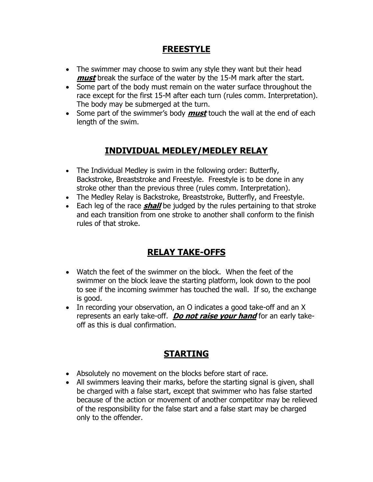### **FREESTYLE**

- The swimmer may choose to swim any style they want but their head **must** break the surface of the water by the 15-M mark after the start.
- Some part of the body must remain on the water surface throughout the race except for the first 15-M after each turn (rules comm. Interpretation). The body may be submerged at the turn.
- Some part of the swimmer's body **must** touch the wall at the end of each length of the swim.

### **INDIVIDUAL MEDLEY/MEDLEY RELAY**

- The Individual Medley is swim in the following order: Butterfly, Backstroke, Breaststroke and Freestyle. Freestyle is to be done in any stroke other than the previous three (rules comm. Interpretation).
- The Medley Relay is Backstroke, Breaststroke, Butterfly, and Freestyle.
- Each leg of the race **shall** be judged by the rules pertaining to that stroke and each transition from one stroke to another shall conform to the finish rules of that stroke.

## **RELAY TAKE-OFFS**

- Watch the feet of the swimmer on the block. When the feet of the swimmer on the block leave the starting platform, look down to the pool to see if the incoming swimmer has touched the wall. If so, the exchange is good.
- In recording your observation, an O indicates a good take-off and an X represents an early take-off. **Do not raise your hand** for an early takeoff as this is dual confirmation.

## **STARTING**

- Absolutely no movement on the blocks before start of race.
- All swimmers leaving their marks, before the starting signal is given, shall be charged with a false start, except that swimmer who has false started because of the action or movement of another competitor may be relieved of the responsibility for the false start and a false start may be charged only to the offender.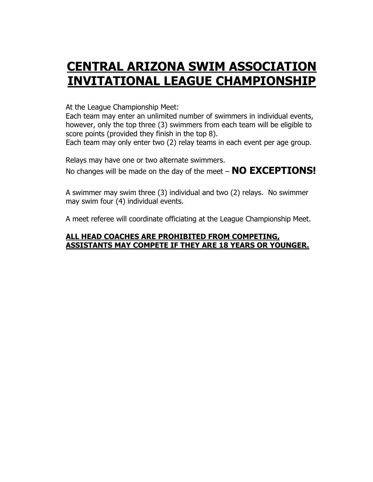# **CENTRAL ARIZONA SWIM ASSOCIATION INVITATIONAL LEAGUE CHAMPIONSHIP**

At the League Championship Meet:

Each team may enter an unlimited number of swimmers in individual events, however, only the top three (3) swimmers from each team will be eligible to score points (provided they finish in the top 8).

Each team may only enter two (2) relay teams in each event per age group.

Relays may have one or two alternate swimmers. No changes will be made on the day of the meet – **NO EXCEPTIONS!**

A swimmer may swim three (3) individual and two (2) relays. No swimmer may swim four (4) individual events.

A meet referee will coordinate officiating at the League Championship Meet.

#### **ALL HEAD COACHES ARE PROHIBITED FROM COMPETING, ASSISTANTS MAY COMPETE IF THEY ARE 18 YEARS OR YOUNGER.**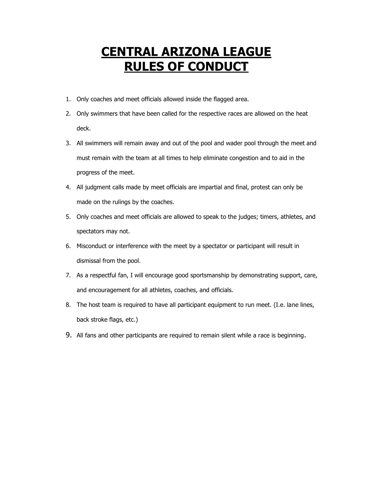# **CENTRAL ARIZONA LEAGUE RULES OF CONDUCT**

- 1. Only coaches and meet officials allowed inside the flagged area.
- 2. Only swimmers that have been called for the respective races are allowed on the heat deck.
- 3. All swimmers will remain away and out of the pool and wader pool through the meet and must remain with the team at all times to help eliminate congestion and to aid in the progress of the meet.
- 4. All judgment calls made by meet officials are impartial and final, protest can only be made on the rulings by the coaches.
- 5. Only coaches and meet officials are allowed to speak to the judges; timers, athletes, and spectators may not.
- 6. Misconduct or interference with the meet by a spectator or participant will result in dismissal from the pool.
- 7. As a respectful fan, I will encourage good sportsmanship by demonstrating support, care, and encouragement for all athletes, coaches, and officials.
- 8. The host team is required to have all participant equipment to run meet. (I.e. lane lines, back stroke flags, etc.)
- 9. All fans and other participants are required to remain silent while a race is beginning.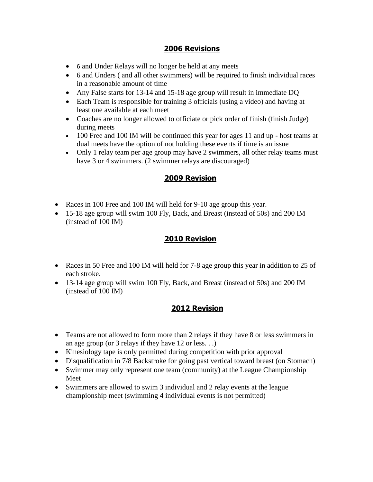#### **2006 Revisions**

- 6 and Under Relays will no longer be held at any meets
- 6 and Unders ( and all other swimmers) will be required to finish individual races in a reasonable amount of time
- Any False starts for 13-14 and 15-18 age group will result in immediate DQ
- Each Team is responsible for training 3 officials (using a video) and having at least one available at each meet
- Coaches are no longer allowed to officiate or pick order of finish (finish Judge) during meets
- 100 Free and 100 IM will be continued this year for ages 11 and up host teams at dual meets have the option of not holding these events if time is an issue
- Only 1 relay team per age group may have 2 swimmers, all other relay teams must have 3 or 4 swimmers. (2 swimmer relays are discouraged)

#### **2009 Revision**

- Races in 100 Free and 100 IM will held for 9-10 age group this year.
- 15-18 age group will swim 100 Fly, Back, and Breast (instead of 50s) and 200 IM (instead of 100 IM)

### **2010 Revision**

- Races in 50 Free and 100 IM will held for 7-8 age group this year in addition to 25 of each stroke.
- 13-14 age group will swim 100 Fly, Back, and Breast (instead of 50s) and 200 IM (instead of 100 IM)

### **2012 Revision**

- Teams are not allowed to form more than 2 relays if they have 8 or less swimmers in an age group (or 3 relays if they have 12 or less. . .)
- Kinesiology tape is only permitted during competition with prior approval
- Disqualification in 7/8 Backstroke for going past vertical toward breast (on Stomach)
- Swimmer may only represent one team (community) at the League Championship Meet
- Swimmers are allowed to swim 3 individual and 2 relay events at the league championship meet (swimming 4 individual events is not permitted)